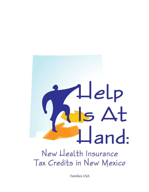# New Health Insurance

# Tax Credits in New Mexico

Families USA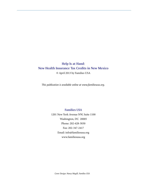# **Help Is at Hand: New Health Insurance Tax Credits in New Mexico** © April 2013 by Families USA

*This publication is available online at www.familiesusa.org.*

## **Families USA**

1201 New York Avenue NW, Suite 1100 Washington, DC 20005 Phone: 202-628-3030 Fax: 202-347-2417 Email: info@familiesusa.org www.familiesusa.org

*Cover Design: Nancy Magill, Families USA*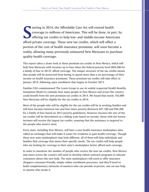**S** tarting in 2014, the Affordable Care Act will extend health coverage to millions of Americans. This will be done, in part, by offering tax credits to help low- and middle-income Americans afford private coverage. These new tax credits, which will offset a portion of the cost of health insurance premiums, will soon become a reality, allowing many previously uninsured New Mexicans to purchase quality health coverage.

This report takes a closer look at these premium tax credits in New Mexico, which will help New Mexicans with incomes up to four times the federal poverty level (\$94,200 for a family of four in 2013)<sup>1</sup> afford coverage. The unique structure of the tax credits means that people will be protected from having to spend more than a set percentage of their income on health insurance premiums. These premium tax credits will take effect in January 2014, following open enrollment that begins in October 2013.

Families USA commissioned The Lewin Group to use its widely respected Health Benefits Simulation Model to estimate how many people in New Mexico and across the country could benefit from the new premium tax credits in 2014. We found that nearly 192,000 New Mexicans will be eligible for the tax credits in 2014.

Most of the people who will be eligible for the tax credits will be in working families and will have incomes between two and four times poverty (between \$47,100 and \$94,200 for a family of four based on 2013 poverty guidelines). However, because the size of the tax credits will be determined on a sliding scale based on income, those with the lowest incomes will receive the largest tax credits, ensuring that the assistance is targeted to the people who need it most.

Every state, including New Mexico, will have a new health insurance marketplace (also called an exchange) that will make it easier for residents to gain health coverage. Though these new state marketplaces may look different, all of them will help individuals and families find coverage that meets their specific needs. The tax credits will help people who are looking for coverage in their state's marketplace better afford such coverage.

In order to maximize the number of people who receive the new tax credits, New Mexico and states across the country will need to develop robust outreach programs to educate consumers about this new help. The state marketplaces will need to offer insurance shoppers consumer-friendly, simple online enrollment processes, and they'll need to build complementary networks of assisters who can provide in-person, one-on-one help to anyone who needs it.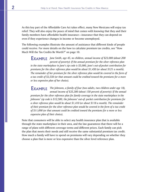As this key part of the Affordable Care Act takes effect, many New Mexicans will enjoy tax relief. They will also enjoy the peace of mind that comes with knowing that they and their family members have affordable health insurance—insurance that they can depend on even if they experience changes in income or become unemployed.

The following examples illustrate the amount of assistance that different kinds of people could receive. For more details on the how to calculate premium tax credits, see "How Much Will the Tax Credits Be Worth?" on page 10.

**EXAMPLE** Jane Smith, age 45, no children, annual income of \$23,000 (about 200 *percent of poverty): If the annual premium for the silver reference plan in the state marketplace in Jane's zip code is \$5,000, Jane's out-of-pocket contribution for premiums for the silver reference plan would be about \$1,450 (or about \$121 a month). The remainder of her premium for the silver reference plan would be covered in the form of a tax credit of \$3,550 (or that amount could be credited toward the premiums for a more or less expensive plan of her choice).*

**EXAMPLE** The Johnsons, a family of four (two adults, two children under age 18), *annual income of \$35,300 (about 150 percent of poverty): If the annual premium for the silver reference plan for family coverage in the state marketplace in the Johnsons' zip code is \$12,500, the Johnsons' out-of- pocket contribution for premiums for a silver reference plan would be about \$1,410 (or about \$118 a month). The remainder of their premium for the silver reference plan would be covered in the form of a tax credit of \$11,090 (or that amount could be credited toward the premiums for a more or less expensive plan of their choice).*

Note that consumers will be able to select any health insurance plan that is available through the state marketplace in their area, and the law guarantees that there will be a range of plans with different coverage terms and different prices. Each family can pick the plan that meets their needs and still receive the same substantial premium tax credit. How much a family will have to spend on premiums will vary depending on whether they choose a plan that is more or less expensive than the silver level reference plan.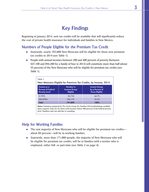# Key Findings

Beginning in January 2014, new tax credits will be available that will significantly reduce the cost of private health insurance for individuals and families in New Mexico.

# Numbers of People Eligible for the Premium Tax Credit

- Statewide, nearly 192,000 New Mexicans will be eligible for these new premium tax credits in 2014 (see Table 1).
- **People with annual incomes between 200 and 400 percent of poverty (between** \$47,100 and \$94,200 for a family of four in 2013) will constitute more than half (about 55 percent) of the New Mexicans who will be eligible for premium tax credits (see Table 1).

| Table 1.<br>New Mexicans Eligible for Premium Tax Credits, by Income, 2014 |                                                                                      |                                                                 |  |  |  |
|----------------------------------------------------------------------------|--------------------------------------------------------------------------------------|-----------------------------------------------------------------|--|--|--|
| Income as a<br><b>Percent of Federal</b><br><b>Poverty Level</b>           | Number in<br><b>Income Group</b><br><b>Eligible</b>                                  | <b>Income Group</b><br>As a Percent of<br><b>Those Eligible</b> |  |  |  |
| 0.199%                                                                     | 85,730                                                                               | 44.7%                                                           |  |  |  |
| 200-399%                                                                   | 106,170                                                                              | 553%                                                            |  |  |  |
| Total                                                                      | 191,890                                                                              | 100%                                                            |  |  |  |
|                                                                            | Notes: Estimates prepared by The Lewin Group for Families USA (methodology available |                                                                 |  |  |  |

upon request). Data are for those with incomes below 400 percent of the federal poverty level. Numbers may not add due to rounding.

# Help for Working Families

- The vast majority of New Mexicans who will be eligible for premium tax credits about 89 percent—will be in working families.
- Statewide, more than 171,000 people, the majority of New Mexicans who will be eligible for premium tax credits, will be in families with a worker who is employed, either full- or part-time (see Table 2 on page 4).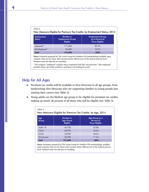| Table 2.<br>New Mexicans Eligible for Premium Tax Credits, by Employment Status, 2014 |                                                         |                                                                     |  |  |
|---------------------------------------------------------------------------------------|---------------------------------------------------------|---------------------------------------------------------------------|--|--|
| <b>Employment</b><br><b>Status</b>                                                    | Number in<br><b>Employment Group</b><br><b>Eligible</b> | <b>Employment Group</b><br>As a Percent of<br><b>Those Eligible</b> |  |  |
| Employed*                                                                             | 171,400                                                 | 89.3%                                                               |  |  |
| Not Employed*                                                                         | 20,490                                                  | 10.7%                                                               |  |  |
| Total                                                                                 | 191,890                                                 | 100%                                                                |  |  |

**Notes**: Estimates prepared by The Lewin Group for Families USA (methodology available upon request). Data are for those with incomes below 400 percent of the federal poverty level. Numbers may not add due to rounding.

\* The category "employed" includes those employed both full- and part-time. "Not employed" includes those out of the workforce and those not looking for work.

# Help for All Ages

- **Premium tax credits will be available to New Mexicans in all age groups, from** hardworking New Mexicans who are supporting families to young people just starting their careers (see Table 3).
- Young adults are the likeliest age group to be eligible for premium tax credits, making up nearly 36 percent of all those who will be eligible (see Table 3).

| Table 3.     | New Mexicans Eligible for Premium Tax Credits, by Age, 2014 |                                                       |
|--------------|-------------------------------------------------------------|-------------------------------------------------------|
| Age<br>Group | Number in<br><b>Age Group</b><br><b>Eligible</b>            | Age Group as a<br>Percent of<br><b>Those Eligible</b> |
| Under 18     | 45,730                                                      | 23.8%                                                 |
| 18-34        | 68,970                                                      | 35.9%                                                 |
| 35-54        | 54,900                                                      | 28.6%                                                 |
| 55 and over  | 22,300                                                      | 11.6%                                                 |
| Total        | 191,890                                                     | 100%                                                  |

**Notes**: Estimates prepared by The Lewin Group for Families USA (methodology available upon request). Data are for those with incomes below 400 percent of the federal poverty level. Numbers may not add due to rounding.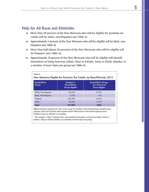# Help for All Races and Ethnicities

- **More than 29 percent of the New Mexicans who will be eligible for premium tax** credits will be white, non-Hispanics (see Table 4).
- Approximately 1 percent of the New Mexicans who will be eligible will be black, non-Hispanics (see Table 4).
- More than half (about 54 percent) of the New Mexicans who will be eligible will be Hispanics (see Table 4).
- Approximately 15 percent of the New Mexicans who will be eligible will identify themselves as being American Indian, Aleut or Eskimo, Asian or Pacific Islander, or a member of more than one group (see Table 4).

| Table 4<br>New Mexicans Eligible for Premium Tax Credits, by Race/Ethnicity, 2014 |                                                            |                                                                        |  |  |
|-----------------------------------------------------------------------------------|------------------------------------------------------------|------------------------------------------------------------------------|--|--|
| <b>Racial/Ethnic</b><br>Group                                                     | Number in<br><b>Racial/Ethnic</b><br><b>Group Eligible</b> | <b>Racial/Ethnic Group</b><br>As a Percent of<br><b>Those Eligible</b> |  |  |
| White, Non-Hispanic                                                               | 56,250                                                     | 29.3%                                                                  |  |  |
| <b>Black, Non-Hispanic</b>                                                        | 2.730                                                      | 1.4%                                                                   |  |  |
| Hispanic                                                                          | 104,360                                                    | 54.4%                                                                  |  |  |
| Other*                                                                            | 28,560                                                     | 14.9%                                                                  |  |  |
| Total                                                                             | 191,890                                                    | 100%                                                                   |  |  |

**Notes**: Estimates prepared by The Lewin Group for Families USA (methodology available upon request). Data are for those with incomes below 400 percent of the federal poverty level. Numbers may not add due to rounding.

\* The category "other" includes those who identify themselves as American Indian, Aleut or Eskimo, Asian or Pacific Islander, or a member of more than one group.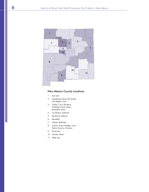

## New Mexico County Locations

- San Juan
- Guadalupe, Mora, Rio Arriba, San Miguel, Taos
- Colfax, Curry, De Baca, Harding, Lincoln, Quay, Roosevelt, Union
- Los Alamos, Santa Fe
- Sandoval, Valencia
- Bernalillo
- Cibola, McKinley
- Catron, Grant, Hidalgo, Luna, Sierra, Socorro, Torrance
- Dona Ana
- Chaves, Otero
- Eddy, Lea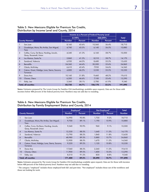|                |                                                                     | Income as a Percent of Federal Poverty Level |         |               |          |               |
|----------------|---------------------------------------------------------------------|----------------------------------------------|---------|---------------|----------|---------------|
|                |                                                                     |                                              | 0-199%  |               | 200-399% | Total         |
|                | <b>County Name(s)</b>                                               | <b>Number</b>                                | Percent | <b>Number</b> | Percent  | <b>Number</b> |
|                | San Juan                                                            | 8,160                                        | 43.6%   | 10,560        | 56.4%    | 18,710        |
| $\overline{2}$ | Guadalupe, Mora, Rio Arriba, San Miguel,<br>Taos                    | 4,740                                        | 43.5%   | 6,140         | 56.5%    | 10,880        |
| 3              | Colfax, Curry, De Baca, Harding, Lincoln,<br>Quay, Roosevelt, Union | 4,340                                        | 41.3%   | 6,160         | 58.7%    | 10,500        |
| $\overline{4}$ | Los Alamos, Santa Fe                                                | 5,860                                        | 41.3%   | 8,310         | 58.7%    | 14,170        |
| 5              | Sandoval, Valencia                                                  | 6,950                                        | 44.5%   | 8,680         | 55.5%    | 15,630        |
| 6              | Bernalillo                                                          | 24,360                                       | 44.4%   | 30,500        | 55.6%    | 54,860        |
| $\overline{7}$ | Cibola, McKinley                                                    | 6,610                                        | 45.4%   | 7,950         | 54.6%    | 14,560        |
| 8              | Catron, Grant, Hidalgo, Luna, Sierra, Socorro,<br>Torrance          | 4,800                                        | 46.5%   | 5,530         | 53.5%    | 10,330        |
| 9              | Dona Ana                                                            | 10,160                                       | 51.8%   | 9,460         | 48.2%    | 19,610        |
| 10             | Chaves, Otero                                                       | 6,200                                        | 46.6%   | 7,100         | 53.4%    | 13,290        |
| 11             | Eddy, Lea                                                           | 3,560                                        | 38.1%   | 5,780         | 61.9%    | 9,340         |
|                | Total, all counties                                                 | 85,730                                       | 44.7%   | 106,170       | 55.3%    | 191,890       |

#### j Distribution by Income Level and County, 2014 Table 5. New Mexicans Eligible for Premium Tax Credits,

**Notes:** Estimates prepared by The Lewin Group for Families USA (methodology available upon request). Data are for those with incomes below 400 percent of the federal poverty level. Numbers may not add due to rounding.

#### Table 6. New Mexicans Eligible for Premium Tax Credits, Distribution by Family Employment Status and County, 2014

|                |                                                                     |               | Employed*      | Not Employed* |         | Total         |
|----------------|---------------------------------------------------------------------|---------------|----------------|---------------|---------|---------------|
|                | <b>County Name(s)</b>                                               | <b>Number</b> | <b>Percent</b> | <b>Number</b> | Percent | <b>Number</b> |
|                | San Juan                                                            | 16,990        | 90.8%          | 1.730         | 9.2%    | 18,710        |
| 2              | Guadalupe, Mora, Rio Arriba, San Miguel,<br>Taos                    | 9,700         | 89.1%          | 1,190         | 10.9%   | 10,880        |
| 3              | Colfax, Curry, De Baca, Harding, Lincoln,<br>Quay, Roosevelt, Union | 9,540         | 90.9%          | 960           | 9.1%    | 10,500        |
| $\overline{A}$ | Los Alamos, Santa Fe                                                | 12,530        | 88.5%          | 1,640         | 11.5%   | 14,170        |
| 5              | Sandoval, Valencia                                                  | 13,790        | 88.2%          | 1,840         | 11.8%   | 15,630        |
| 6              | Bernalillo                                                          | 48,980        | 89.3%          | 5,880         | 10.7%   | 54,860        |
| $\overline{7}$ | Cibola, McKinley                                                    | 12,900        | 88.5%          | 1,670         | 11.5%   | 14,560        |
| 8              | Catron, Grant, Hidalgo, Luna, Sierra, Socorro,<br>Torrance          | 9,220         | 89.2%          | 1,120         | 10.8%   | 10,330        |
| 9              | Dona Ana                                                            | 17,360        | 88.5%          | 2,260         | 11.5%   | 19,610        |
| 10             | Chaves, Otero                                                       | 11,900        | 89.5%          | 1,400         | 10.5%   | 13,290        |
| 11             | Eddy, Lea                                                           | 8,510         | 91.2%          | 830           | 8.8%    | 9,340         |
|                | Total, all counties                                                 | 171,400       | 89.3%          | 20,490        | 10.7%   | 191,890       |

**Notes**: Estimates prepared by The Lewin Group for Families USA (methodology available upon request). Data are for those with incomes below 400 percent of the federal poverty level. Numbers may not add due to rounding.

\* The category "employed" includes those employed both full- and part-time. "Not employed" includes those out of the workforce and those not looking for work.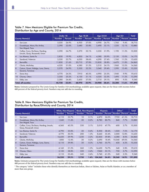|                |                                                                     | Under 18      |         | Age 18-34     |                | Age 35-54     |         | Age $55+$ |         | Total         |
|----------------|---------------------------------------------------------------------|---------------|---------|---------------|----------------|---------------|---------|-----------|---------|---------------|
|                | <b>County Name(s)</b>                                               | <b>Number</b> | Percent | <b>Number</b> | <b>Percent</b> | <b>Number</b> | Percent | Number    | Percent | <b>Number</b> |
| 1              | San Juan                                                            | 5,030         | 26.9%   | 6,930         | 37.0%          | 4,990         | 26.7%   | 1,760     | 9.4%    | 18,710        |
| 2              | Guadalupe, Mora, Rio Arriba,<br>San Miguel, Taos                    | 2,390         | 22.0%   | 3,680         | 33.8%          | 3,490         | 32.1%   | 1,320     | 12.1%   | 10,880        |
| 3              | Colfax, Curry, De Baca, Harding,<br>Lincoln, Quay, Roosevelt, Union | 2,590         | 24.7%   | 3,370         | 32.1%          | 3,350         | 31.9%   | 1,190     | 11.3%   | 10,500        |
| $\overline{4}$ | Los Alamos, Santa Fe                                                | 2,830         | 19.9%   | 4,830         | 34.1%          | 4,380         | 30.9%   | 2,130     | 15.0%   | 14,170        |
| 5              | Sandoval, Valencia                                                  | 3,550         | 22.7%   | 6,030         | 38.6%          | 4,290         | 27.4%   | 1,760     | 11.2%   | 15,630        |
| $\ddot{\circ}$ | Bernalillo                                                          | 11,850        | 21.6%   | 20,710        | 37.8%          | 15,830        | 28.8%   | 6,470     | 11.8%   | 54,860        |
| 7              | Cibola, McKinley                                                    | 4,520         | 31.0%   | 4,580         | 31.5%          | 3,510         | 24.1%   | 1,960     | 13.5%   | 14,560        |
| 8              | Catron, Grant, Hidalgo, Luna, Sierra,<br>Socorro, Torrance          | 2,570         | 24.9%   | 3,330         | 32.2%          | 3,040         | 29.4%   | 1,390     | 13.4%   | 10,330        |
| 9              | Dona Ana                                                            | 4,770         | 24.3%   | 7,910         | 40.3%          | 4,990         | 25.5%   | 1,940     | 9.9%    | 19,610        |
| 10             | Chaves, Otero                                                       | 3,350         | 25.2%   | 4,130         | 31.1%          | 4,320         | 32.5%   | 1,490     | 11.2%   | 13,290        |
| 11             | Eddy, Lea                                                           | 2,280         | 24.4%   | 3,450         | 37.0%          | 2,710         | 29.1%   | 890       | 9.5%    | 9,340         |
|                | Total, all counties                                                 | 45,730        | 23.8%   | 68,970        | 35.9%          | 54,900        | 28.6%   | 22,300    | 11.6%   | 191,890       |

#### Table 7. New Mexicans Eligible for Premium Tax Credits, Distribution by Age and County, 2014

**Notes:** Estimates prepared by The Lewin Group for Families USA (methodology available upon request). Data are for those with incomes below 400 percent of the federal poverty level. Numbers may not add due to rounding.

#### Distribution by Race/Ethnicity and County, 2014 Table 8. New Mexicans Eligible for Premium Tax Credits,

|                |                                                                     |               | <b>White, Non-Hispanic</b> |        | <b>Black, Non-Hispanic</b> |               | <b>Hispanic</b> | Other*                     |       | Total         |
|----------------|---------------------------------------------------------------------|---------------|----------------------------|--------|----------------------------|---------------|-----------------|----------------------------|-------|---------------|
|                | <b>County Name(s)</b>                                               | <b>Number</b> | Percent                    | Number | Percent                    | <b>Number</b> |                 | Percent   Number   Percent |       | <b>Number</b> |
|                | San Juan                                                            | 6,110         | 32.7%                      | 10     | 0.1%                       | 4,870         | 26.0%           | 7,720                      | 41.3% | 18,710        |
| $\overline{2}$ | Guadalupe, Mora, Rio Arriba,<br>San Miguel, Taos                    | 1,240         | 11.4%                      | 30     | 0.2%                       | 8,780         | 80.7%           | 840                        | 7.7%  | 10,880        |
| 3              | Colfax, Curry, De Baca, Harding, Lincoln,<br>Quay, Roosevelt, Union | 4,560         | 43.5%                      | 330    | 3.1%                       | 5,010         | 47.7%           | 600                        | 5.7%  | 10,500        |
| $\overline{4}$ | Los Alamos, Santa Fe                                                | 4,790         | 33.8%                      | 50     | 0.4%                       | 8,300         | 58.6%           | 1,020                      | 7.2%  | 14,170        |
| 5              | Sandoval, Valencia                                                  | 4,770         | 30.5%                      | 200    | 1.3%                       | 8,660         | 55.4%           | 2,000                      | 12.8% | 15,630        |
| 6              | Bernalillo                                                          | 16,430        | 29.9%                      | 1,230  | 2.2%                       | 32,830        | 59.8%           | 4,380                      | 8.0%  | 54,860        |
| 7              | Cibola, McKinley                                                    | 1,800         | 12.4%                      | 30     | 0.2%                       | 2,690         | 18.4%           | 10.040                     | 69.0% | 14,560        |
| 8              | Catron, Grant, Hidalgo, Luna, Sierra,<br>Socorro, Torrance          | 4,110         | 39.8%                      | 30     | 0.3%                       | 5,760         | 55.7%           | 430                        | 4.2%  | 10,330        |
| 9              | Dona Ana                                                            | 4,160         | 21.2%                      | 260    | 1.3%                       | 14,650        | 74.7%           | 540                        | 2.8%  | 19,610        |
| 10             | Chaves, Otero                                                       | 5,150         | 38.8%                      | 330    | 2.4%                       | 7,060         | 53.1%           | 750                        | 5.7%  | 13,290        |
| 11             | Eddy, Lea                                                           | 3,110         | 33.4%                      | 240    | 2.6%                       | 5,740         | 61.5%           | 240                        | 2.5%  | 9,340         |
|                | Total, all counties                                                 | 56,250        | 29.3%                      | 2,730  | 1.4%                       | 104,360       | 54.4%           | 28,560                     | 14.9% | 191,890       |

**Notes**: Estimates prepared by The Lewin Group for Families USA (methodology available upon request). Data are for those with incomes below 400 percent of the federal poverty level. Numbers may not add due to rounding.

\* The category "other" includes those who identify themselves as American Indian, Aleut or Eskimo, Asian or Pacific Islander, or as a member of more than one group.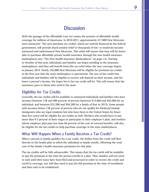# **Discussion**

With the passage of the Affordable Care Act comes the promise of affordable health coverage for millions of Americans. In 2010-2011, approximately 417,000 New Mexicans were uninsured. $2$  The new premium tax credits, which are entirely financed by the federal government, will provide much-needed relief to thousands of low- to moderate-income uninsured and underinsured New Mexicans. This relief will ensure that they will be better able to purchase affordable private health insurance through the new health insurance marketplaces (see "The New Health Insurance Marketplaces" on page 12). Starting in October of this year, individuals and families can begin enrolling in the insurance marketplaces, and they will benefit from this tax relief when the new coverage begins in January 2014. Nearly 192,000 New Mexicans will be eligible for premium tax credits in the first year that the state marketplace is operational. The size of the credit that individuals and families will be eligible to receive will depend on their income, and the lower a person's income, the larger his or her tax credit will be. This will ensure that the assistance goes to those who need it the most.

# Eligibility for Tax Credits

Generally, the tax credits will be available to uninsured individuals and families who have incomes between 138 and 400 percent of poverty (between \$15,860 and \$45,960 for an individual, and between \$32,500 and \$94,200 for a family of four in 2013). Some people with incomes below 138 percent of poverty who do not qualify for Medicaid (mainly immigrants who are legal residents but who have been in the United States for fewer than five years) will be eligible for tax credits as well. Workers who would have to pay more than 9.5 percent of their wages to participate in their employer's plan, and workers whose employer plan pays less than 60 percent of the cost of covered benefits, will also be eligible for the tax credits to help purchase coverage in the state marketplaces.

# What Will Happen When a Family Receives a Tax Credit?

When a person or family qualifies for a tax credit, the dollars from the credit will flow directly to the health plan in which the individual or family enrolls, offsetting the total cost of the family's health insurance premiums for that plan.

The tax credits will be fully advanceable. This means that the tax credit will be available to pay the premium at the time the person enrolls in a plan. Thus, families will not need to wait until their taxes have been filed and processed in order to receive the credit and enroll in coverage, nor will they need to pay the full premium at the time of enrollment and then wait to be reimbursed.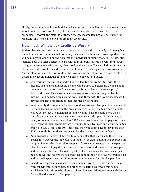Finally, the tax credit will be refundable, which means that families with very low incomes who do not owe taxes will be eligible for these tax credits to assist with the cost of premiums. However, the majority of these very low-income families will be eligible for Medicaid, and hence, ineligible for premium tax credits.

# How Much Will the Tax Credits Be Worth?

As described earlier, the size of the tax credit that an individual or family will be eligible for will depend on the individual's or family's income. And how much coverage that credit will help buy will depend on the plan that the individual or family chooses. The new state marketplaces will offer a range of plans with four different coverage levels (from lowest to highest coverage level): bronze, silver, gold, and platinum. The calculations of the size of the tax credits will be linked to the second lowest-cost silver plan, also known as the "silver reference plan." Below, we describe how income and plan choice come together to determine what an individual or family will have to pay out of pocket.

- To determine the size of an individual's or family's tax credit, start with their income. The family's household income will be used to determine the maximum premium contribution the family must pay for a particular "reference plan," described below. This maximum amount—a maximum percentage of family income—will be based on a sliding scale, and those with the lowest incomes will pay the smallest proportion of their incomes on premiums.
- Next, identify the premiums for the second lowest-cost silver plan that is available to the individual or family in the area in which they live. The tax credit amount will be set so that the individual or family will not have to spend more than a specific percentage of their income on premiums for this plan. For example, a family of four with an income of \$47,100 a year would not have to pay more than 6.3 percent of their income toward premiums for a silver plan and would get a tax credit of \$9,530 (see Table 10). Therefore, they would not have to pay more than \$247 a month for the silver reference plan that covers their entire family.
- An individual or family will be free to pick any plan that is available through an exchange. However, the individual's or family's tax credit amount will be based on the premium for the silver reference plan. If a consumer selects a more expensive plan, he or she will pay the difference in price between this more expensive plan and the silver reference plan out of pocket. If a consumer selects a cheaper plan, he or she will still receive the tax credit amount based on the silver reference plan and thus will spend less out of pocket on the premiums for this cheaper plan.
- In addition to premium assistance, some families will be eligible for more help with copayments, deductibles, and other cost-sharing. However, this help is available only for those who choose a silver plan (see "Additional Help with Out-of-Pocket Health Care Costs" on page 13).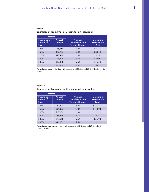| Income                                      |                  | <b>Examples of Premium Tax Credits for an Individual</b> |                                                          |
|---------------------------------------------|------------------|----------------------------------------------------------|----------------------------------------------------------|
| Income as a<br>Percent of<br><b>Poverty</b> | Annual<br>Income | Premium<br>Contribution as a<br><b>Percent of Income</b> | <b>Example of</b><br><b>Premium Tax</b><br><b>Credit</b> |
| 138%                                        | \$15,860         | 3.3%                                                     | \$4,480                                                  |
| 150%                                        | \$17,235         | 4.0%                                                     | \$4,310                                                  |
| 200%                                        | \$22,980         | 6.3%                                                     | \$3,550                                                  |
| 250%                                        | \$28,725         | 8.1%                                                     | \$2,690                                                  |
| 300%                                        | \$34,470         | 9.5%                                                     | \$1,730                                                  |
| 400%                                        | \$45,960         | 9.5%                                                     | \$630                                                    |

**Note**: Based on an individual with premiums of \$5,000 and 2013 federal poverty levels.

| <b>Income</b>                               |                  |                                                                 |                                                           |
|---------------------------------------------|------------------|-----------------------------------------------------------------|-----------------------------------------------------------|
| Income as a<br>Percent of<br><b>Poverty</b> | Annual<br>Income | Premium<br><b>Contribution</b> as a<br><b>Percent of Income</b> | <b>Example of</b><br><b>Premium Tax</b><br><b>Credits</b> |
| 138%                                        | \$32,500         | 3.3%                                                            | \$11,430                                                  |
| 150%                                        | \$35,325         | 4.0%                                                            | \$11,090                                                  |
| 200%                                        | \$47,100         | 6.3%                                                            | \$9,530                                                   |
| 250%                                        | \$58,875         | 8.1%                                                            | \$7,760                                                   |
| 300%                                        | \$70,650         | 9.5%                                                            | \$5,790                                                   |
| 400%                                        | \$94,200         | 9.5%                                                            | \$3,550                                                   |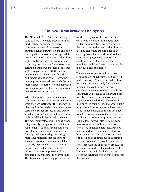# The New Health Insurance Marketplaces

The Affordable Care Act requires every state to have a new regulated insurance marketplace, or exchange, where consumers and small businesses can purchase health insurance plans and apply for help with the cost of coverage. While every state must have a new marketplace, states are taking different approaches to getting the job done. Some states are setting up their own marketplaces, other states are partnering with the federal government to take on specific tasks and functions, and in some states, the federal government will establish the new marketplaces. Regardless of the approach, every marketplace will provide important new consumer protections.

When shopping in the new marketplaces, consumers and small businesses will know what they are getting for their money. All plans sold in the marketplaces must meet certain consumer protection and quality standards so that shoppers do not end up with surprising holes in their coverage. The new marketplaces will, among other things, certify that plans meet minimum requirements, such as having sufficient provider networks, implementing userfriendly quality reporting, and using marketing materials that are fair and accurate. Insurance companies will have to clearly explain what care is covered in every plan and at what cost. This information must be presented in a standardized, consumer-friendly format. This transparency will help people shop

for the best plan for the price, *and* it will promote competition among plans. Under the Affordable Care Act, insurers that sell plans in the new marketplaces just like plans that are sold outside the exchanges—will not be allowed to deny coverage to people with pre-existing conditions or to charge exorbitant premiums, which will keep costs down for individuals and businesses.

The new marketplaces will be a onestop shop where consumers can enroll in health coverage. These new marketplaces will help consumers apply for the new premium tax credits, and they will calculate the amount of the tax credit that consumers will receive. The marketplaces will also help lower-income consumers apply for Medicaid, the Children's Health Insurance Program (CHIP), and other public programs. All marketplaces will use one standardized application that is designed to help consumers find out which coverage and financial assistance options they are eligible for. They will also be required to have consumer-friendly websites, as well as toll-free telephone help lines. Perhaps most importantly, every marketplace will have a network of people who are trained and certified to conduct public education and outreach, and to provide in-person assistance with the application process for premium tax credits, Medicaid, and CHIP. These assisters will also help shoppers select the insurance option that best meets their needs.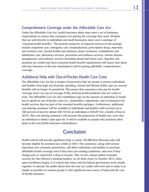# Comprehensive Coverage under the Affordable Care Act

Under the Affordable Care Act, health insurance plans must meet a set of minimum requirements to ensure that consumers are getting the coverage they need. All plans that are sold directly to individuals and small businesses must cover a package of "essential health benefits." The general categories of required services in this package include outpatient care, emergency care, hospitalization, prescription drugs, maternity and newborn care, mental health and substance abuse treatment, rehabilitative and habilitative care, laboratory services, preventive and wellness services, chronic disease management, and pediatric services (including dental and vision care). Together, the premium tax credits and these essential health benefit requirements will ensure that those who buy insurance in the new marketplaces will be getting *affordable*, comprehensive coverage.

# Additional Help with Out-of-Pocket Health Care Costs

The Affordable Care Act has a number of provisions that are meant to protect individuals and families from high out-of-pocket spending. Annual and lifetime dollar caps on covered benefits will no longer be permitted. This means that consumers who pay for health coverage won't run out of coverage if they develop health problems that are costly to treat. The Affordable Care Act also established caps on the amount an individual or family has to spend on out-of-pocket costs (i.e., deductibles, copayments, and co-insurance) for health services that are part of the essential benefits packages. Furthermore, additional cost-sharing assistance will be available to individuals and families with incomes up to 250 percent of poverty (about \$28,725 for an individual or \$58,875 for a family of four in 2013). This cost-sharing assistance will increase the proportion of health care costs that an individual or family's plan pays for. It will be available to people who purchase silver plans in the new health insurance marketplaces.

# Conclusion

Health reform will provide significant help to nearly 192,000 New Mexicans who will become eligible for premium tax credits in 2014. This assistance, along with several important new consumer protections, will allow individuals and families to purchase affordable health coverage even if they have pre-existing conditions, and even if they change jobs or experience a drop in income. This, in turn, means added economic security for New Mexico's working families. As we draw closer to October 2013, when open enrollment begins, it is critical that states and the federal government work closely together to educate the public about how the new tax credits will work and to make it as simple as possible to connect people to this significant new source of help with the cost of health insurance.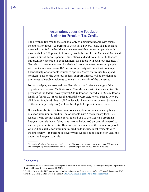# Assumptions about the Population Eligible for Premium Tax Credits

The premium tax credits are available only to uninsured people with family incomes at or above 100 percent of the federal poverty level. This is because those who crafted the health care law assumed that uninsured people with incomes below 100 percent of poverty would be enrolled in Medicaid. Medicaid provides out-of-pocket spending protections and additional benefits that are important for coverage to be meaningful for people with such low incomes. If New Mexico does not expand its Medicaid program, most uninsured people with family incomes below 100 percent of poverty will be left without any financial help or affordable insurance options. States that refuse to expand Medicaid, despite the generous federal support offered, will be condemning their most vulnerable residents to remain in the ranks of the uninsured.

For our analysis, we assumed that New Mexico will take advantage of the opportunity to expand Medicaid to all New Mexicans with incomes up to 138 percent\* of the federal poverty level  $($15,860$  for an individual or  $$32,500$  for a family of four in 2013). Under the Affordable Care Act, New Mexicans who are eligible for Medicaid (that is, all families with incomes at or below 138 percent of the federal poverty level) will not be eligible for premium tax credits.

Our analysis also takes into account one exception to the income eligibility rules for premium tax credits: The Affordable Care Act allows any legal U.S. residents who are not eligible for Medicaid due to the Medicaid program's five-year ban rule (even if they have income below 100 percent of poverty) to receive premium tax credits. Therefore, our estimates of the number of people who will be eligible for premium tax credits do include legal residents with incomes below 138 percent of poverty who would not be eligible for Medicaid under the five-year ban rule.

\*Under the Affordable Care Act, the first 5 percent of income is not counted, or "disregarded." This means that the eligibility threshold for Medicaid is 138 percent of poverty, not 133 percent of poverty.

# **Endnotes**

<sup>1</sup> Office of the Assistant Secretary of Planning and Evaluation, 2013 Federal Poverty Guidelines (Washington: Department of Health and Human Services, January 24, 2013).

2 Families USA analysis of U.S. Census Bureau's Current Population Survey, *Annual Social and Economic Supplement, 2013*, using the CPS Table Creator, available online at<http://www.census.gov/cps/data/cpstablecreator.html>.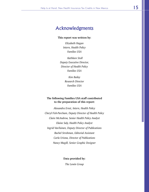# Acknowledgments

**This report was written by:** 

*Elizabeth Hagan Intern, Health Policy Families USA*

*Kathleen Stoll Deputy Executive Director, Director of Health Policy Families USA*

> *Kim Bailey Research Director Families USA*

#### **The following Families USA staff contributed to the preparation of this report:**

*Alexandra Ernst, Intern, Health Policy Cheryl Fish-Parcham, Deputy Director of Health Policy Claire McAndrew, Senior Health Policy Analyst Elaine Saly, Health Policy Analyst Ingrid VanTuinen, Deputy Director of Publications Rachel Strohman, Editorial Assistant Carla Uriona, Director of Publications Nancy Magill, Senior Graphic Designer*

**Data provided by:** 

*The Lewin Group*